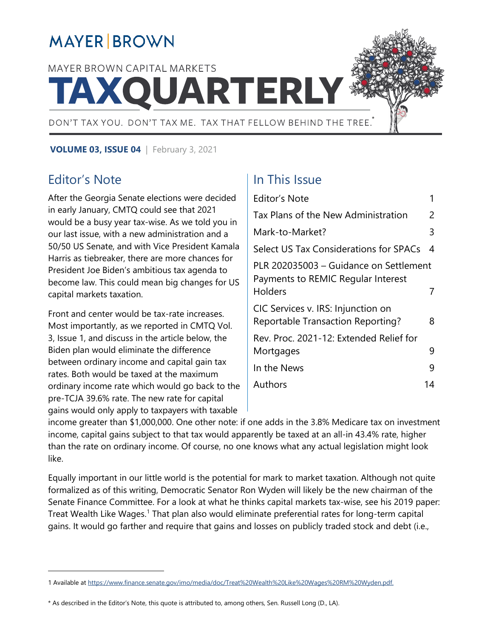# **MAYER BROWN**

# MAYER BROWN CAPITAL MARKETS **TAXQUARTERLY**



**VOLUME 03, ISSUE 04** | February 3, 2021

## <span id="page-0-0"></span>Editor's Note

 $\overline{a}$ 

After the Georgia Senate elections were decided in early January, CMTQ could see that 2021 would be a busy year tax-wise. As we told you in our last issue, with a new administration and a 50/50 US Senate, and with Vice President Kamala Harris as tiebreaker, there are more chances for President Joe Biden's ambitious tax agenda to become law. This could mean big changes for US capital markets taxation.

Front and center would be tax-rate increases. Most importantly, as we reported in CMTQ Vol. 3, Issue 1, and discuss in the article below, the Biden plan would eliminate the difference between ordinary income and capital gain tax rates. Both would be taxed at the maximum ordinary income rate which would go back to the pre-TCJA 39.6% rate. The new rate for capital gains would only apply to taxpayers with taxable

## In This Issue

| <b>Editor's Note</b>                                                                    |    |
|-----------------------------------------------------------------------------------------|----|
| Tax Plans of the New Administration                                                     | 2  |
| Mark-to-Market?                                                                         | 3  |
| <b>Select US Tax Considerations for SPACs</b>                                           | 4  |
| PLR 202035003 - Guidance on Settlement<br>Payments to REMIC Regular Interest<br>Holders |    |
|                                                                                         |    |
| CIC Services v. IRS: Injunction on<br><b>Reportable Transaction Reporting?</b>          | 8  |
| Rev. Proc. 2021-12: Extended Relief for                                                 |    |
| Mortgages                                                                               | 9  |
| In the News                                                                             | q  |
| Authors                                                                                 | 14 |

income greater than \$1,000,000. One other note: if one adds in the 3.8% Medicare tax on investment income, capital gains subject to that tax would apparently be taxed at an all-in 43.4% rate, higher than the rate on ordinary income. Of course, no one knows what any actual legislation might look like.

Equally important in our little world is the potential for mark to market taxation. Although not quite formalized as of this writing, Democratic Senator Ron Wyden will likely be the new chairman of the Senate Finance Committee. For a look at what he thinks capital markets tax-wise, see his 2019 paper: Treat Wealth Like Wages.<sup>[1](#page-0-1)</sup> That plan also would eliminate preferential rates for long-term capital gains. It would go farther and require that gains and losses on publicly traded stock and debt (i.e.,

\* As described in the Editor's Note, this quote is attributed to, among others, Sen. Russell Long (D., LA).

<span id="page-0-1"></span><sup>1</sup> Available a[t https://www.finance.senate.gov/imo/media/doc/Treat%20Wealth%20Like%20Wages%20RM%20Wyden.pdf.](https://www.finance.senate.gov/imo/media/doc/Treat%20Wealth%20Like%20Wages%20RM%20Wyden.pdf)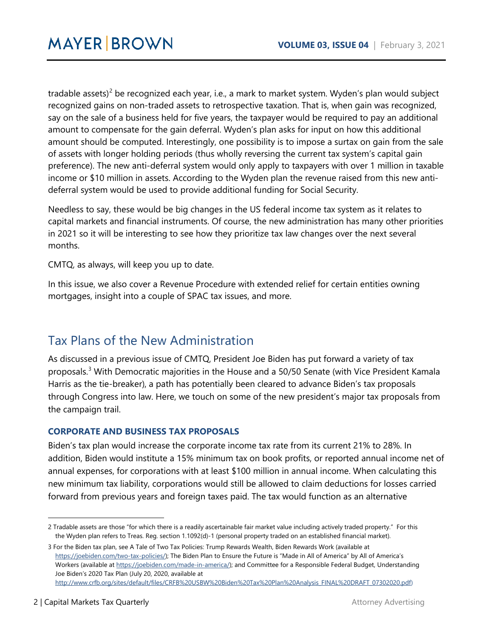tradable assets)<sup>[2](#page-1-1)</sup> be recognized each year, i.e., a mark to market system. Wyden's plan would subject recognized gains on non-traded assets to retrospective taxation. That is, when gain was recognized, say on the sale of a business held for five years, the taxpayer would be required to pay an additional amount to compensate for the gain deferral. Wyden's plan asks for input on how this additional amount should be computed. Interestingly, one possibility is to impose a surtax on gain from the sale of assets with longer holding periods (thus wholly reversing the current tax system's capital gain preference). The new anti-deferral system would only apply to taxpayers with over 1 million in taxable income or \$10 million in assets. According to the Wyden plan the revenue raised from this new antideferral system would be used to provide additional funding for Social Security.

Needless to say, these would be big changes in the US federal income tax system as it relates to capital markets and financial instruments. Of course, the new administration has many other priorities in 2021 so it will be interesting to see how they prioritize tax law changes over the next several months.

CMTQ, as always, will keep you up to date.

In this issue, we also cover a Revenue Procedure with extended relief for certain entities owning mortgages, insight into a couple of SPAC tax issues, and more.

## <span id="page-1-0"></span>Tax Plans of the New Administration

As discussed in a previous issue of CMTQ, President Joe Biden has put forward a variety of tax proposals.[3](#page-1-2) With Democratic majorities in the House and a 50/50 Senate (with Vice President Kamala Harris as the tie-breaker), a path has potentially been cleared to advance Biden's tax proposals through Congress into law. Here, we touch on some of the new president's major tax proposals from the campaign trail.

#### **CORPORATE AND BUSINESS TAX PROPOSALS**

Biden's tax plan would increase the corporate income tax rate from its current 21% to 28%. In addition, Biden would institute a 15% minimum tax on book profits, or reported annual income net of annual expenses, for corporations with at least \$100 million in annual income. When calculating this new minimum tax liability, corporations would still be allowed to claim deductions for losses carried forward from previous years and foreign taxes paid. The tax would function as an alternative

 $\overline{a}$ 

<span id="page-1-1"></span><sup>2</sup> Tradable assets are those "for which there is a readily ascertainable fair market value including actively traded property." For this the Wyden plan refers to Treas. Reg. section 1.1092(d)-1 (personal property traded on an established financial market).

<span id="page-1-2"></span><sup>3</sup> For the Biden tax plan, see A Tale of Two Tax Policies: Trump Rewards Wealth, Biden Rewards Work (available at [https://joebiden.com/two-tax-policies/\);](https://joebiden.com/two-tax-policies/) The Biden Plan to Ensure the Future is "Made in All of America" by All of America's Workers (available a[t https://joebiden.com/made-in-america/\)](https://joebiden.com/made-in-america/); and Committee for a Responsible Federal Budget, Understanding Joe Biden's 2020 Tax Plan (July 20, 2020, available at [http://www.crfb.org/sites/default/files/CRFB%20USBW%20Biden%20Tax%20Plan%20Analysis\\_FINAL%20DRAFT\\_07302020.pdf\)](http://www.crfb.org/sites/default/files/CRFB%20USBW%20Biden%20Tax%20Plan%20Analysis_FINAL%20DRAFT_07302020.pdf)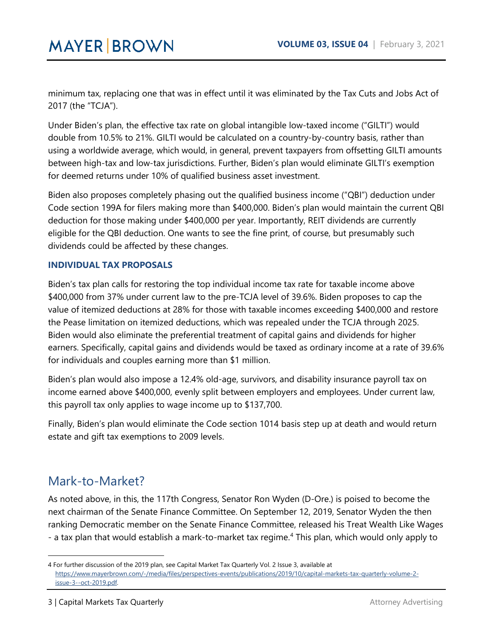minimum tax, replacing one that was in effect until it was eliminated by the Tax Cuts and Jobs Act of 2017 (the "TCJA").

Under Biden's plan, the effective tax rate on global intangible low-taxed income ("GILTI") would double from 10.5% to 21%. GILTI would be calculated on a country-by-country basis, rather than using a worldwide average, which would, in general, prevent taxpayers from offsetting GILTI amounts between high-tax and low-tax jurisdictions. Further, Biden's plan would eliminate GILTI's exemption for deemed returns under 10% of qualified business asset investment.

Biden also proposes completely phasing out the qualified business income ("QBI") deduction under Code section 199A for filers making more than \$400,000. Biden's plan would maintain the current QBI deduction for those making under \$400,000 per year. Importantly, REIT dividends are currently eligible for the QBI deduction. One wants to see the fine print, of course, but presumably such dividends could be affected by these changes.

#### **INDIVIDUAL TAX PROPOSALS**

Biden's tax plan calls for restoring the top individual income tax rate for taxable income above \$400,000 from 37% under current law to the pre-TCJA level of 39.6%. Biden proposes to cap the value of itemized deductions at 28% for those with taxable incomes exceeding \$400,000 and restore the Pease limitation on itemized deductions, which was repealed under the TCJA through 2025. Biden would also eliminate the preferential treatment of capital gains and dividends for higher earners. Specifically, capital gains and dividends would be taxed as ordinary income at a rate of 39.6% for individuals and couples earning more than \$1 million.

Biden's plan would also impose a 12.4% old-age, survivors, and disability insurance payroll tax on income earned above \$400,000, evenly split between employers and employees. Under current law, this payroll tax only applies to wage income up to \$137,700.

Finally, Biden's plan would eliminate the Code section 1014 basis step up at death and would return estate and gift tax exemptions to 2009 levels.

## <span id="page-2-0"></span>Mark-to-Market?

 $\ddot{\phantom{a}}$ 

As noted above, in this, the 117th Congress, Senator Ron Wyden (D-Ore.) is poised to become the next chairman of the Senate Finance Committee. On September 12, 2019, Senator Wyden the then ranking Democratic member on the Senate Finance Committee, released his Treat Wealth Like Wages - a tax plan that would establish a mark-to-market tax regime.<sup>[4](#page-2-1)</sup> This plan, which would only apply to

<span id="page-2-1"></span><sup>4</sup> For further discussion of the 2019 plan, see Capital Market Tax Quarterly Vol. 2 Issue 3, available at [https://www.mayerbrown.com/-/media/files/perspectives-events/publications/2019/10/capital-markets-tax-quarterly-volume-2](https://www.mayerbrown.com/-/media/files/perspectives-events/publications/2019/10/capital-markets-tax-quarterly-volume-2-issue-3--oct-2019.pdf) [issue-3--oct-2019.pdf.](https://www.mayerbrown.com/-/media/files/perspectives-events/publications/2019/10/capital-markets-tax-quarterly-volume-2-issue-3--oct-2019.pdf)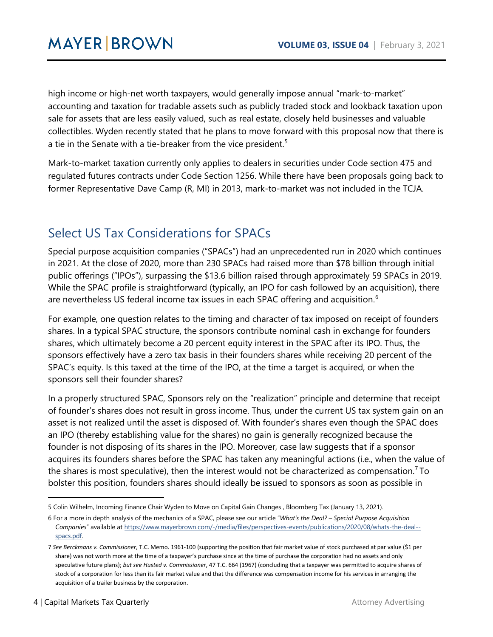high income or high-net worth taxpayers, would generally impose annual "mark-to-market" accounting and taxation for tradable assets such as publicly traded stock and lookback taxation upon sale for assets that are less easily valued, such as real estate, closely held businesses and valuable collectibles. Wyden recently stated that he plans to move forward with this proposal now that there is a tie in the Senate with a tie-breaker from the vice president.<sup>[5](#page-3-1)</sup>

Mark-to-market taxation currently only applies to dealers in securities under Code section 475 and regulated futures contracts under Code Section 1256. While there have been proposals going back to former Representative Dave Camp (R, MI) in 2013, mark-to-market was not included in the TCJA.

## <span id="page-3-0"></span>Select US Tax Considerations for SPACs

Special purpose acquisition companies ("SPACs") had an unprecedented run in 2020 which continues in 2021. At the close of 2020, more than 230 SPACs had raised more than \$78 billion through initial public offerings ("IPOs"), surpassing the \$13.6 billion raised through approximately 59 SPACs in 2019. While the SPAC profile is straightforward (typically, an IPO for cash followed by an acquisition), there are nevertheless US federal income tax issues in each SPAC offering and acquisition.<sup>[6](#page-3-2)</sup>

For example, one question relates to the timing and character of tax imposed on receipt of founders shares. In a typical SPAC structure, the sponsors contribute nominal cash in exchange for founders shares, which ultimately become a 20 percent equity interest in the SPAC after its IPO. Thus, the sponsors effectively have a zero tax basis in their founders shares while receiving 20 percent of the SPAC's equity. Is this taxed at the time of the IPO, at the time a target is acquired, or when the sponsors sell their founder shares?

In a properly structured SPAC, Sponsors rely on the "realization" principle and determine that receipt of founder's shares does not result in gross income. Thus, under the current US tax system gain on an asset is not realized until the asset is disposed of. With founder's shares even though the SPAC does an IPO (thereby establishing value for the shares) no gain is generally recognized because the founder is not disposing of its shares in the IPO. Moreover, case law suggests that if a sponsor acquires its founders shares before the SPAC has taken any meaningful actions (i.e., when the value of the shares is most speculative), then the interest would not be characterized as compensation.<sup>[7](#page-3-3)</sup> To bolster this position, founders shares should ideally be issued to sponsors as soon as possible in

 $\ddot{\phantom{a}}$ 

<span id="page-3-1"></span><sup>5</sup> Colin Wilhelm, Incoming Finance Chair Wyden to Move on Capital Gain Changes , Bloomberg Tax (January 13, 2021).

<span id="page-3-2"></span><sup>6</sup> For a more in depth analysis of the mechanics of a SPAC, please see our article "*What's the Deal? – Special Purpose Acquisition Companies*" available a[t https://www.mayerbrown.com/-/media/files/perspectives-events/publications/2020/08/whats-the-deal-](https://www.mayerbrown.com/-/media/files/perspectives-events/publications/2020/08/whats-the-deal--spacs.pdf) [spacs.pdf.](https://www.mayerbrown.com/-/media/files/perspectives-events/publications/2020/08/whats-the-deal--spacs.pdf) 

<span id="page-3-3"></span><sup>7</sup> *See Berckmans v. Commissioner*, T.C. Memo. 1961-100 (supporting the position that fair market value of stock purchased at par value (\$1 per share) was not worth more at the time of a taxpayer's purchase since at the time of purchase the corporation had no assets and only speculative future plans); *but see Husted v. Commissioner*, 47 T.C. 664 (1967) (concluding that a taxpayer was permitted to acquire shares of stock of a corporation for less than its fair market value and that the difference was compensation income for his services in arranging the acquisition of a trailer business by the corporation.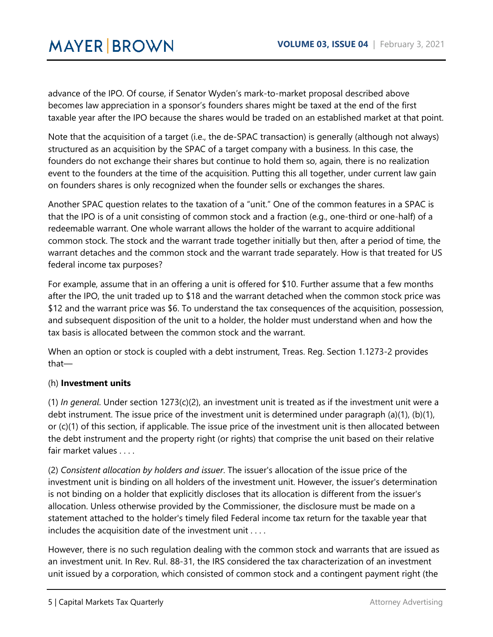advance of the IPO. Of course, if Senator Wyden's mark-to-market proposal described above becomes law appreciation in a sponsor's founders shares might be taxed at the end of the first taxable year after the IPO because the shares would be traded on an established market at that point.

Note that the acquisition of a target (i.e., the de-SPAC transaction) is generally (although not always) structured as an acquisition by the SPAC of a target company with a business. In this case, the founders do not exchange their shares but continue to hold them so, again, there is no realization event to the founders at the time of the acquisition. Putting this all together, under current law gain on founders shares is only recognized when the founder sells or exchanges the shares.

Another SPAC question relates to the taxation of a "unit." One of the common features in a SPAC is that the IPO is of a unit consisting of common stock and a fraction (e.g., one-third or one-half) of a redeemable warrant. One whole warrant allows the holder of the warrant to acquire additional common stock. The stock and the warrant trade together initially but then, after a period of time, the warrant detaches and the common stock and the warrant trade separately. How is that treated for US federal income tax purposes?

For example, assume that in an offering a unit is offered for \$10. Further assume that a few months after the IPO, the unit traded up to \$18 and the warrant detached when the common stock price was \$12 and the warrant price was \$6. To understand the tax consequences of the acquisition, possession, and subsequent disposition of the unit to a holder, the holder must understand when and how the tax basis is allocated between the common stock and the warrant.

When an option or stock is coupled with a debt instrument, Treas. Reg. Section 1.1273-2 provides that—

#### (h) **Investment units**

(1) *In general*. Under section 1273(c)(2), an investment unit is treated as if the investment unit were a debt instrument. The issue price of the investment unit is determined under paragraph (a)(1), (b)(1), or (c)(1) of this section, if applicable. The issue price of the investment unit is then allocated between the debt instrument and the property right (or rights) that comprise the unit based on their relative fair market values . . . .

(2) *Consistent allocation by holders and issuer*. The issuer's allocation of the issue price of the investment unit is binding on all holders of the investment unit. However, the issuer's determination is not binding on a holder that explicitly discloses that its allocation is different from the issuer's allocation. Unless otherwise provided by the Commissioner, the disclosure must be made on a statement attached to the holder's timely filed Federal income tax return for the taxable year that includes the acquisition date of the investment unit . . . .

However, there is no such regulation dealing with the common stock and warrants that are issued as an investment unit. In Rev. Rul. 88-31, the IRS considered the tax characterization of an investment unit issued by a corporation, which consisted of common stock and a contingent payment right (the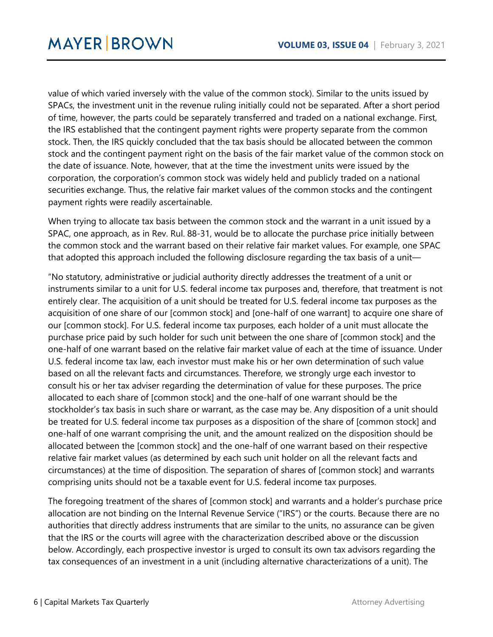value of which varied inversely with the value of the common stock). Similar to the units issued by SPACs, the investment unit in the revenue ruling initially could not be separated. After a short period of time, however, the parts could be separately transferred and traded on a national exchange. First, the IRS established that the contingent payment rights were property separate from the common stock. Then, the IRS quickly concluded that the tax basis should be allocated between the common stock and the contingent payment right on the basis of the fair market value of the common stock on the date of issuance. Note, however, that at the time the investment units were issued by the corporation, the corporation's common stock was widely held and publicly traded on a national securities exchange. Thus, the relative fair market values of the common stocks and the contingent payment rights were readily ascertainable.

When trying to allocate tax basis between the common stock and the warrant in a unit issued by a SPAC, one approach, as in Rev. Rul. 88-31, would be to allocate the purchase price initially between the common stock and the warrant based on their relative fair market values. For example, one SPAC that adopted this approach included the following disclosure regarding the tax basis of a unit—

"No statutory, administrative or judicial authority directly addresses the treatment of a unit or instruments similar to a unit for U.S. federal income tax purposes and, therefore, that treatment is not entirely clear. The acquisition of a unit should be treated for U.S. federal income tax purposes as the acquisition of one share of our [common stock] and [one-half of one warrant] to acquire one share of our [common stock]. For U.S. federal income tax purposes, each holder of a unit must allocate the purchase price paid by such holder for such unit between the one share of [common stock] and the one-half of one warrant based on the relative fair market value of each at the time of issuance. Under U.S. federal income tax law, each investor must make his or her own determination of such value based on all the relevant facts and circumstances. Therefore, we strongly urge each investor to consult his or her tax adviser regarding the determination of value for these purposes. The price allocated to each share of [common stock] and the one-half of one warrant should be the stockholder's tax basis in such share or warrant, as the case may be. Any disposition of a unit should be treated for U.S. federal income tax purposes as a disposition of the share of [common stock] and one-half of one warrant comprising the unit, and the amount realized on the disposition should be allocated between the [common stock] and the one-half of one warrant based on their respective relative fair market values (as determined by each such unit holder on all the relevant facts and circumstances) at the time of disposition. The separation of shares of [common stock] and warrants comprising units should not be a taxable event for U.S. federal income tax purposes.

The foregoing treatment of the shares of [common stock] and warrants and a holder's purchase price allocation are not binding on the Internal Revenue Service ("IRS") or the courts. Because there are no authorities that directly address instruments that are similar to the units, no assurance can be given that the IRS or the courts will agree with the characterization described above or the discussion below. Accordingly, each prospective investor is urged to consult its own tax advisors regarding the tax consequences of an investment in a unit (including alternative characterizations of a unit). The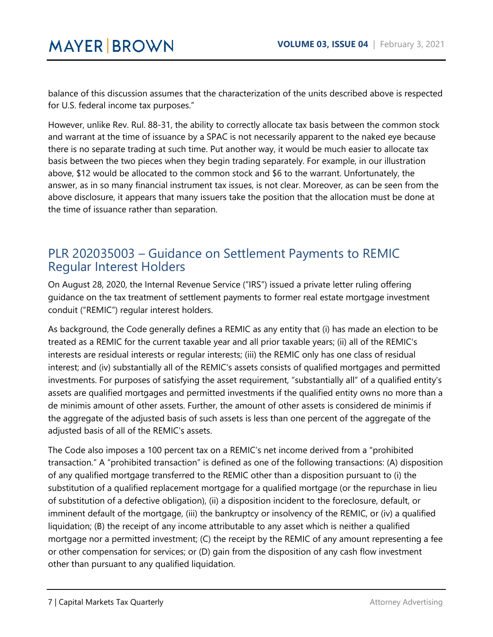balance of this discussion assumes that the characterization of the units described above is respected for U.S. federal income tax purposes."

However, unlike Rev. Rul. 88-31, the ability to correctly allocate tax basis between the common stock and warrant at the time of issuance by a SPAC is not necessarily apparent to the naked eye because there is no separate trading at such time. Put another way, it would be much easier to allocate tax basis between the two pieces when they begin trading separately. For example, in our illustration above, \$12 would be allocated to the common stock and \$6 to the warrant. Unfortunately, the answer, as in so many financial instrument tax issues, is not clear. Moreover, as can be seen from the above disclosure, it appears that many issuers take the position that the allocation must be done at the time of issuance rather than separation.

## <span id="page-6-0"></span>PLR 202035003 – Guidance on Settlement Payments to REMIC Regular Interest Holders

On August 28, 2020, the Internal Revenue Service ("IRS") issued a private letter ruling offering guidance on the tax treatment of settlement payments to former real estate mortgage investment conduit ("REMIC") regular interest holders.

As background, the Code generally defines a REMIC as any entity that (i) has made an election to be treated as a REMIC for the current taxable year and all prior taxable years; (ii) all of the REMIC's interests are residual interests or regular interests; (iii) the REMIC only has one class of residual interest; and (iv) substantially all of the REMIC's assets consists of qualified mortgages and permitted investments. For purposes of satisfying the asset requirement, "substantially all" of a qualified entity's assets are qualified mortgages and permitted investments if the qualified entity owns no more than a de minimis amount of other assets. Further, the amount of other assets is considered de minimis if the aggregate of the adjusted basis of such assets is less than one percent of the aggregate of the adjusted basis of all of the REMIC's assets.

The Code also imposes a 100 percent tax on a REMIC's net income derived from a "prohibited transaction." A "prohibited transaction" is defined as one of the following transactions: (A) disposition of any qualified mortgage transferred to the REMIC other than a disposition pursuant to (i) the substitution of a qualified replacement mortgage for a qualified mortgage (or the repurchase in lieu of substitution of a defective obligation), (ii) a disposition incident to the foreclosure, default, or imminent default of the mortgage, (iii) the bankruptcy or insolvency of the REMIC, or (iv) a qualified liquidation; (B) the receipt of any income attributable to any asset which is neither a qualified mortgage nor a permitted investment; (C) the receipt by the REMIC of any amount representing a fee or other compensation for services; or (D) gain from the disposition of any cash flow investment other than pursuant to any qualified liquidation.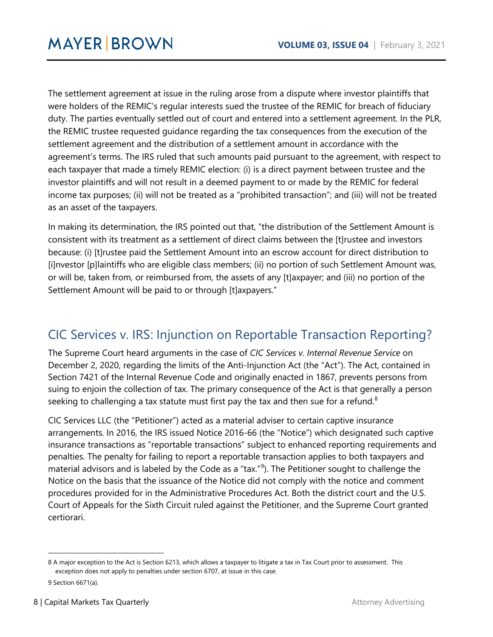The settlement agreement at issue in the ruling arose from a dispute where investor plaintiffs that were holders of the REMIC's regular interests sued the trustee of the REMIC for breach of fiduciary duty. The parties eventually settled out of court and entered into a settlement agreement. In the PLR, the REMIC trustee requested guidance regarding the tax consequences from the execution of the settlement agreement and the distribution of a settlement amount in accordance with the agreement's terms. The IRS ruled that such amounts paid pursuant to the agreement, with respect to each taxpayer that made a timely REMIC election: (i) is a direct payment between trustee and the investor plaintiffs and will not result in a deemed payment to or made by the REMIC for federal income tax purposes; (ii) will not be treated as a "prohibited transaction"; and (iii) will not be treated as an asset of the taxpayers.

In making its determination, the IRS pointed out that, "the distribution of the Settlement Amount is consistent with its treatment as a settlement of direct claims between the [t]rustee and investors because: (i) [t]rustee paid the Settlement Amount into an escrow account for direct distribution to [i]nvestor [p]laintiffs who are eligible class members; (ii) no portion of such Settlement Amount was, or will be, taken from, or reimbursed from, the assets of any [t]axpayer; and (iii) no portion of the Settlement Amount will be paid to or through [t]axpayers."

## <span id="page-7-0"></span>CIC Services v. IRS: Injunction on Reportable Transaction Reporting?

The Supreme Court heard arguments in the case of *CIC Services v. Internal Revenue Service* on December 2, 2020, regarding the limits of the Anti-Injunction Act (the "Act"). The Act, contained in Section 7421 of the Internal Revenue Code and originally enacted in 1867, prevents persons from suing to enjoin the collection of tax. The primary consequence of the Act is that generally a person seeking to challenging a tax statute must first pay the tax and then sue for a refund.<sup>[8](#page-7-1)</sup>

CIC Services LLC (the "Petitioner") acted as a material adviser to certain captive insurance arrangements. In 2016, the IRS issued Notice 2016-66 (the "Notice") which designated such captive insurance transactions as "reportable transactions" subject to enhanced reporting requirements and penalties. The penalty for failing to report a reportable transaction applies to both taxpayers and material advisors and is labeled by the Code as a "tax."<sup>[9](#page-7-2)</sup>). The Petitioner sought to challenge the Notice on the basis that the issuance of the Notice did not comply with the notice and comment procedures provided for in the Administrative Procedures Act. Both the district court and the U.S. Court of Appeals for the Sixth Circuit ruled against the Petitioner, and the Supreme Court granted certiorari.

 $\ddot{\phantom{a}}$ 

<span id="page-7-1"></span><sup>8</sup> A major exception to the Act is Section 6213, which allows a taxpayer to litigate a tax in Tax Court prior to assessment. This exception does not apply to penalties under section 6707, at issue in this case.

<span id="page-7-2"></span><sup>9</sup> Section 6671(a).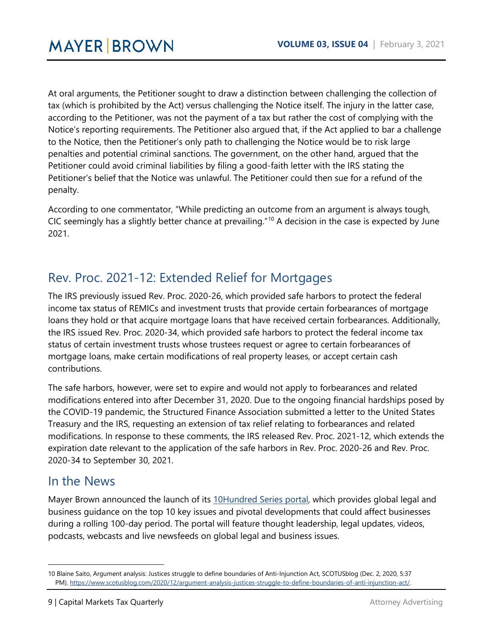At oral arguments, the Petitioner sought to draw a distinction between challenging the collection of tax (which is prohibited by the Act) versus challenging the Notice itself. The injury in the latter case, according to the Petitioner, was not the payment of a tax but rather the cost of complying with the Notice's reporting requirements. The Petitioner also argued that, if the Act applied to bar a challenge to the Notice, then the Petitioner's only path to challenging the Notice would be to risk large penalties and potential criminal sanctions. The government, on the other hand, argued that the Petitioner could avoid criminal liabilities by filing a good-faith letter with the IRS stating the Petitioner's belief that the Notice was unlawful. The Petitioner could then sue for a refund of the penalty.

According to one commentator, "While predicting an outcome from an argument is always tough, CIC seemingly has a slightly better chance at prevailing."[10](#page-8-2) A decision in the case is expected by June 2021.

## <span id="page-8-0"></span>Rev. Proc. 2021-12: Extended Relief for Mortgages

The IRS previously issued Rev. Proc. 2020-26, which provided safe harbors to protect the federal income tax status of REMICs and investment trusts that provide certain forbearances of mortgage loans they hold or that acquire mortgage loans that have received certain forbearances. Additionally, the IRS issued Rev. Proc. 2020-34, which provided safe harbors to protect the federal income tax status of certain investment trusts whose trustees request or agree to certain forbearances of mortgage loans, make certain modifications of real property leases, or accept certain cash contributions.

The safe harbors, however, were set to expire and would not apply to forbearances and related modifications entered into after December 31, 2020. Due to the ongoing financial hardships posed by the COVID-19 pandemic, the Structured Finance Association submitted a letter to the United States Treasury and the IRS, requesting an extension of tax relief relating to forbearances and related modifications. In response to these comments, the IRS released Rev. Proc. 2021-12, which extends the expiration date relevant to the application of the safe harbors in Rev. Proc. 2020-26 and Rev. Proc. 2020-34 to September 30, 2021.

## <span id="page-8-1"></span>In the News

 $\overline{a}$ 

Mayer Brown announced the launch of its [10Hundred](https://10hundred.mayerbrown.com/) Series portal, which provides global legal and business guidance on the top 10 key issues and pivotal developments that could affect businesses during a rolling 100-day period. The portal will feature thought leadership, legal updates, videos, podcasts, webcasts and live newsfeeds on global legal and business issues.

<span id="page-8-2"></span><sup>10</sup> Blaine Saito, Argument analysis: Justices struggle to define boundaries of Anti-Injunction Act, SCOTUSblog (Dec. 2, 2020, 5:37 PM), [https://www.scotusblog.com/2020/12/argument-analysis-justices-struggle-to-define-boundaries-of-anti-injunction-act/.](https://www.scotusblog.com/2020/12/argument-analysis-justices-struggle-to-define-boundaries-of-anti-injunction-act/)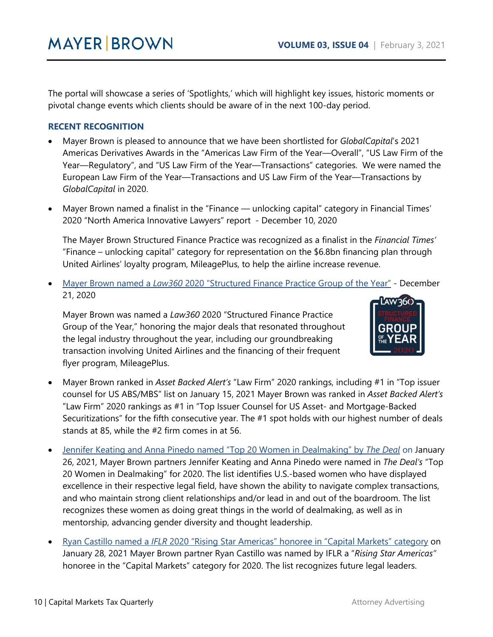The portal will showcase a series of 'Spotlights,' which will highlight key issues, historic moments or pivotal change events which clients should be aware of in the next 100-day period.

#### **RECENT RECOGNITION**

- Mayer Brown is pleased to announce that we have been shortlisted for *GlobalCapital*'s 2021 Americas Derivatives Awards in the "Americas Law Firm of the Year—Overall", "US Law Firm of the Year—Regulatory", and "US Law Firm of the Year—Transactions" categories. We were named the European Law Firm of the Year—Transactions and US Law Firm of the Year—Transactions by *GlobalCapital* in 2020.
- Mayer Brown named a finalist in the "Finance unlocking capital" category in Financial Times' 2020 "North America Innovative Lawyers" report - December 10, 2020

The Mayer Brown Structured Finance Practice was recognized as a finalist in the *Financial Times'*  "Finance – unlocking capital" category for representation on the \$6.8bn financing plan through United Airlines' loyalty program, MileagePlus, to help the airline increase revenue.

• Mayer Brown named a *Law360* [2020 "Structured Finance Practice Group of the Year"](https://www.law360.com/capitalmarkets/articles/1327451/structured-finance-group-of-the-year-mayer-brown-) - December 21, 2020

Mayer Brown was named a *Law360* 2020 "Structured Finance Practice Group of the Year," honoring the major deals that resonated throughout the legal industry throughout the year, including our groundbreaking transaction involving United Airlines and the financing of their frequent flyer program, MileagePlus.



- Mayer Brown ranked in *Asset Backed Alert's* "Law Firm" 2020 rankings, including #1 in "Top issuer counsel for US ABS/MBS" list on January 15, 2021 Mayer Brown was ranked in *Asset Backed Alert's*  "Law Firm" 2020 rankings as #1 in "Top Issuer Counsel for US Asset- and Mortgage-Backed Securitizations" for the fifth consecutive year. The #1 spot holds with our highest number of deals stands at 85, while the #2 firm comes in at 56.
- [Jennifer Keating and Anna Pinedo named "Top 20 Women in Dealmaking" by](https://www.thedeal.com/mergers-acquisitions/the-deal-honors-top-women-in-dealmaking/) *The Deal* on January 26, 2021*,* Mayer Brown partners Jennifer Keating and Anna Pinedo were named in *The Deal's* "Top 20 Women in Dealmaking" for 2020. The list identifies U.S.-based women who have displayed excellence in their respective legal field, have shown the ability to navigate complex transactions, and who maintain strong client relationships and/or lead in and out of the boardroom. The list recognizes these women as doing great things in the world of dealmaking, as well as in mentorship, advancing gender diversity and thought leadership.
- Ryan Castillo named a *IFLR* [2020 "Rising Star Americas" honoree in "Capital Markets" category](https://www.iflr.com/article/b1q9vvk447rzwb/rising-stars-awards-americas-2020-winners-announced) on January 28, 2021 Mayer Brown partner Ryan Castillo was named by IFLR a "*Rising Star Americas"*  honoree in the "Capital Markets" category for 2020. The list recognizes future legal leaders.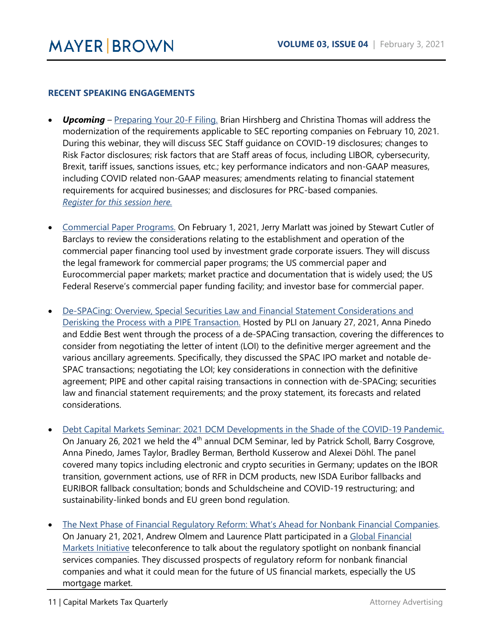#### **RECENT SPEAKING ENGAGEMENTS**

- *Upcoming* [Preparing Your 20-F Filing.](https://www.mayerbrown.com/en/perspectives-events/events/2021/02/preparing-your-20f-filing) Brian Hirshberg and Christina Thomas will address the modernization of the requirements applicable to SEC reporting companies on February 10, 2021. During this webinar, they will discuss SEC Staff guidance on COVID-19 disclosures; changes to Risk Factor disclosures; risk factors that are Staff areas of focus, including LIBOR, cybersecurity, Brexit, tariff issues, sanctions issues, etc.; key performance indicators and non-GAAP measures, including COVID related non-GAAP measures; amendments relating to financial statement requirements for acquired businesses; and disclosures for PRC-based companies. *[Register for this session here.](https://connect.mayerbrown.com/388/7960/landing-pages/blank-rsvp-business.asp)*
- [Commercial Paper Programs.](https://www.mayerbrown.com/en/perspectives-events/events/2021/02/commercial-paper-programs) On February 1, 2021, Jerry Marlatt was joined by Stewart Cutler of Barclays to review the considerations relating to the establishment and operation of the commercial paper financing tool used by investment grade corporate issuers. They will discuss the legal framework for commercial paper programs; the US commercial paper and Eurocommercial paper markets; market practice and documentation that is widely used; the US Federal Reserve's commercial paper funding facility; and investor base for commercial paper.
- [De-SPACing: Overview, Special Securities Law and Financial Statement Considerations and](https://www.mayerbrown.com/en/perspectives-events/events/2021/01/de-spacing-overview-special-securities-law-and-financial-statement-considerations-and-derisking-the-process-with-a-pipe-transaction)  [Derisking the Process with a PIPE Transaction.](https://www.mayerbrown.com/en/perspectives-events/events/2021/01/de-spacing-overview-special-securities-law-and-financial-statement-considerations-and-derisking-the-process-with-a-pipe-transaction) Hosted by PLI on January 27, 2021, Anna Pinedo and Eddie Best went through the process of a de-SPACing transaction, covering the differences to consider from negotiating the letter of intent (LOI) to the definitive merger agreement and the various ancillary agreements. Specifically, they discussed the SPAC IPO market and notable de-SPAC transactions; negotiating the LOI; key considerations in connection with the definitive agreement; PIPE and other capital raising transactions in connection with de-SPACing; securities law and financial statement requirements; and the proxy statement, its forecasts and related considerations.
- [Debt Capital Markets Seminar: 2021 DCM Developments in the Shade of the COVID-19 Pandemic.](https://www.mayerbrown.com/en/perspectives-events/events/2021/01/ger-4th-dcm-webinar) On January 26, 2021 we held the 4<sup>th</sup> annual DCM Seminar, led by Patrick Scholl, Barry Cosgrove, Anna Pinedo, James Taylor, Bradley Berman, Berthold Kusserow and Alexei Döhl. The panel covered many topics including electronic and crypto securities in Germany; updates on the IBOR transition, government actions, use of RFR in DCM products, new ISDA Euribor fallbacks and EURIBOR fallback consultation; bonds and Schuldscheine and COVID-19 restructuring; and sustainability-linked bonds and EU green bond regulation.
- [The Next Phase of Financial Regulatory Reform: What's Ahead for Nonbank Financial Companies.](https://www.mayerbrown.com/en/perspectives-events/events/2021/01/the-next-phase-of-financial-regulatory-reform-whats-ahead-for-nonbank-financial-companies) On January 21, 2021, Andrew Olmem and Laurence Platt participated in a [Global Financial](https://www.mayerbrown.com/en/capabilities/key-issues/global-financial-markets?tab=overview)  [Markets Initiative](https://www.mayerbrown.com/en/capabilities/key-issues/global-financial-markets?tab=overview) teleconference to talk about the regulatory spotlight on nonbank financial services companies. They discussed prospects of regulatory reform for nonbank financial companies and what it could mean for the future of US financial markets, especially the US mortgage market.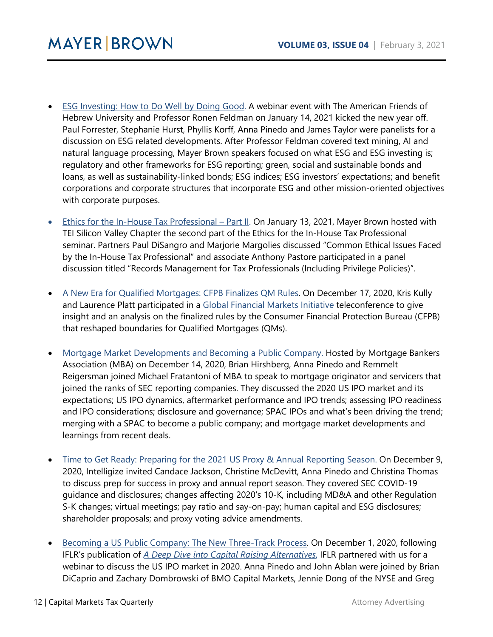- [ESG Investing: How to Do Well by Doing Good.](https://www.mayerbrown.com/en/perspectives-events/events/2021/01/esg-investing-how-to-do-well-by-doing-good) A webinar event with The American Friends of Hebrew University and Professor Ronen Feldman on January 14, 2021 kicked the new year off. Paul Forrester, Stephanie Hurst, Phyllis Korff, Anna Pinedo and James Taylor were panelists for a discussion on ESG related developments. After Professor Feldman covered text mining, AI and natural language processing, Mayer Brown speakers focused on what ESG and ESG investing is; regulatory and other frameworks for ESG reporting; green, social and sustainable bonds and loans, as well as sustainability-linked bonds; ESG indices; ESG investors' expectations; and benefit corporations and corporate structures that incorporate ESG and other mission-oriented objectives with corporate purposes.
- [Ethics for the In-House Tax Professional –](https://www.mayerbrown.com/en/perspectives-events/events/2021/01/ethics-for-the-in-house-tax-professional-part-ii) Part II. On January 13, 2021, Mayer Brown hosted with TEI Silicon Valley Chapter the second part of the Ethics for the In-House Tax Professional seminar. Partners Paul DiSangro and Marjorie Margolies discussed "Common Ethical Issues Faced by the In-House Tax Professional" and associate Anthony Pastore participated in a panel discussion titled "Records Management for Tax Professionals (Including Privilege Policies)".
- [A New Era for Qualified Mortgages: CFPB Finalizes QM Rules.](https://www.mayerbrown.com/en/perspectives-events/events/2020/12/a-new-era-for-qualified-mortgagescfpb-finalizes-qm-rules) On December 17, 2020, Kris Kully and Laurence Platt participated in a [Global Financial Markets Initiative](https://www.mayerbrown.com/en/capabilities/key-issues/global-financial-markets?tab=overview) teleconference to give insight and an analysis on the finalized rules by the Consumer Financial Protection Bureau (CFPB) that reshaped boundaries for Qualified Mortgages (QMs).
- [Mortgage Market Developments and Becoming a Public Company.](https://www.mayerbrown.com/en/perspectives-events/events/2020/12/mortgage-market-developments-and-becoming-a-public-company) Hosted by Mortgage Bankers Association (MBA) on December 14, 2020, Brian Hirshberg, Anna Pinedo and Remmelt Reigersman joined Michael Fratantoni of MBA to speak to mortgage originator and servicers that joined the ranks of SEC reporting companies. They discussed the 2020 US IPO market and its expectations; US IPO dynamics, aftermarket performance and IPO trends; assessing IPO readiness and IPO considerations; disclosure and governance; SPAC IPOs and what's been driving the trend; merging with a SPAC to become a public company; and mortgage market developments and learnings from recent deals.
- [Time to Get Ready: Preparing for the 2021 US Proxy & Annual Reporting Season.](https://www.mayerbrown.com/en/perspectives-events/events/2020/12/time-to-get-readypreparing-for-the-2021-us-proxy-annual-reporting-season) On December 9, 2020, Intelligize invited Candace Jackson, Christine McDevitt, Anna Pinedo and Christina Thomas to discuss prep for success in proxy and annual report season. They covered SEC COVID-19 guidance and disclosures; changes affecting 2020's 10-K, including MD&A and other Regulation S-K changes; virtual meetings; pay ratio and say-on-pay; human capital and ESG disclosures; shareholder proposals; and proxy voting advice amendments.
- [Becoming a US Public Company: The New Three-Track Process.](https://www.mayerbrown.com/en/perspectives-events/events/2020/12/becoming-a-us-public-company-the-new-threetrack-process) On December 1, 2020, following IFLR's publication of *[A Deep Dive into Capital Raising Alternatives](https://www.iflr.com/article/b1nx66b8l1qv8g/book-publication-a-deep-dive-into-capital-raising-alternatives)*, IFLR partnered with us for a webinar to discuss the US IPO market in 2020. Anna Pinedo and John Ablan were joined by Brian DiCaprio and Zachary Dombrowski of BMO Capital Markets, Jennie Dong of the NYSE and Greg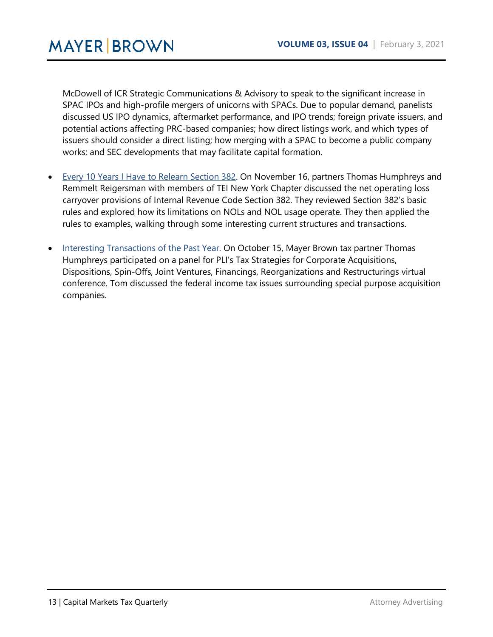McDowell of ICR Strategic Communications & Advisory to speak to the significant increase in SPAC IPOs and high-profile mergers of unicorns with SPACs. Due to popular demand, panelists discussed US IPO dynamics, aftermarket performance, and IPO trends; foreign private issuers, and potential actions affecting PRC-based companies; how direct listings work, and which types of issuers should consider a direct listing; how merging with a SPAC to become a public company works; and SEC developments that may facilitate capital formation.

- [Every 10 Years I Have to Relearn Section 382.](https://www.mayerbrown.com/en/perspectives-events/events/2020/11/every-10-years-i-have-to-relearn-section-382) On November 16, partners Thomas Humphreys and Remmelt Reigersman with members of TEI New York Chapter discussed the net operating loss carryover provisions of Internal Revenue Code Section 382. They reviewed Section 382's basic rules and explored how its limitations on NOLs and NOL usage operate. They then applied the rules to examples, walking through some interesting current structures and transactions.
- Interesting Transactions of the Past Year. On October 15, Mayer Brown tax partner Thomas Humphreys participated on a panel for PLI's Tax Strategies for Corporate Acquisitions, Dispositions, Spin-Offs, Joint Ventures, Financings, Reorganizations and Restructurings virtual conference. Tom discussed the federal income tax issues surrounding special purpose acquisition companies.